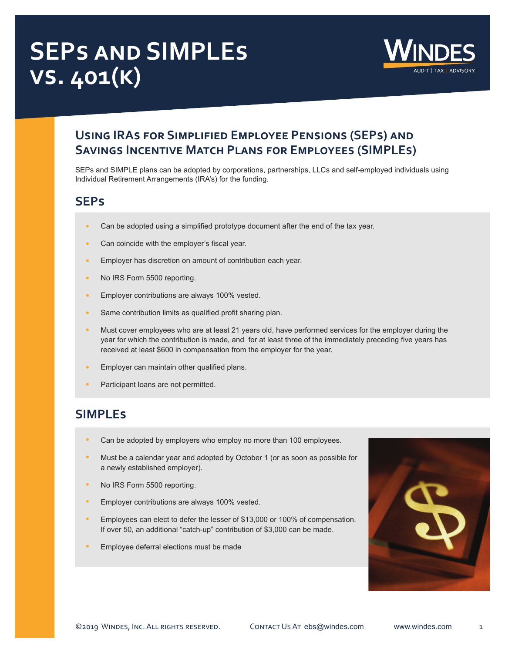# **SEPs and SIMPLEs vs. 401(k)**



## **Using IRAs for Simplified Employee Pensions (SEPs) and Savings Incentive Match Plans for Employees (SIMPLEs)**

SEPs and SIMPLE plans can be adopted by corporations, partnerships, LLCs and self-employed individuals using Individual Retirement Arrangements (IRA's) for the funding.

#### **SEPs**

- **•** Can be adopted using a simplified prototype document after the end of the tax year.
- **•** Can coincide with the employer's fiscal year.
- **•** Employer has discretion on amount of contribution each year.
- **•** No IRS Form 5500 reporting.
- **•** Employer contributions are always 100% vested.
- **•** Same contribution limits as qualified profit sharing plan.
- **•** Must cover employees who are at least 21 years old, have performed services for the employer during the year for which the contribution is made, and for at least three of the immediately preceding five years has received at least \$600 in compensation from the employer for the year.
- **•** Employer can maintain other qualified plans.
- **•** Participant loans are not permitted.

## **SIMPLEs**

- **•** Can be adopted by employers who employ no more than 100 employees.
- **•** Must be a calendar year and adopted by October 1 (or as soon as possible for a newly established employer).
- **•** No IRS Form 5500 reporting.
- **•** Employer contributions are always 100% vested.
- **•** Employees can elect to defer the lesser of \$13,000 or 100% of compensation. If over 50, an additional "catch-up" contribution of \$3,000 can be made.
- **•** Employee deferral elections must be made